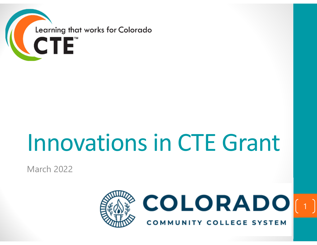

# Innovationsin CTE Grant

March 2022



COLORADO[1]

**COMMUNITY COLLEGE SYSTEM**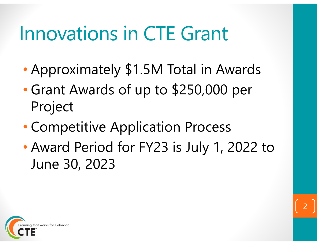### Innovations in CTE Grant

- •Approximately \$1.5M Total in Awards
- • Grant Awards of up to \$250,000 per Project
- •Competitive Application Process
- • Award Period for FY23 is July 1, 2022 to June 30, 2023

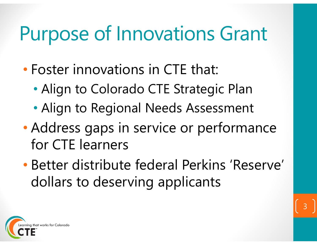### Purpose of Innovations Grant

- • Foster innovations in CTE that:
	- •Align to Colorado CTE Strategic Plan
	- •Align to Regional Needs Assessment
- $\bullet$  Address gaps in service or performance for CTE learners
- • Better distribute federal Perkins 'Reserve' dollars to deserving applicants

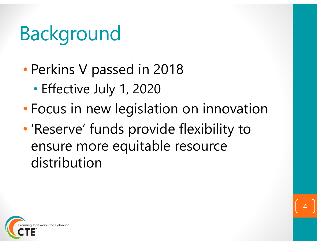# Background

- •• Perkins V passed in 2018
	- •Effective July 1, 2020
- •Focus in new legislation on innovation
- • 'Reserve' funds provide flexibility to ensure more equitable resource distribution

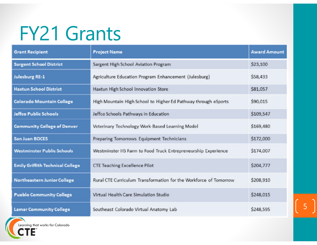### FY21 Grants

| <b>Grant Recipient</b>                  | <b>Project Name</b>                                               | <b>Award Amount</b> |
|-----------------------------------------|-------------------------------------------------------------------|---------------------|
| <b>Sargent School District</b>          | Sargent High School Aviation Program                              | \$23,100            |
| <b>Julesburg RE-1</b>                   | Agriculture Education Program Enhancement (Julesburg)             | \$58,433            |
| <b>Haxtun School District</b>           | Haxtun High School Innovation Store                               | \$81,057            |
| <b>Colorado Mountain College</b>        | High Mountain High School to Higher Ed Pathway through eSports    | \$90,015            |
| Jeffco Public Schools                   | Jeffco Schools Pathways in Education                              | \$109,547           |
| <b>Community College of Denver</b>      | Veterinary Technology Work-Based Learning Model                   | \$169,480           |
| <b>San Juan BOCES</b>                   | Preparing Tomorrows Equipment Technicians                         | \$172,000           |
| <b>Westminster Public Schools</b>       | Westminster HS Farm to Food Truck Entrepreneurship Experience     | \$174,007           |
| <b>Emily Griffith Technical College</b> | <b>CTE Teaching Excellence Pilot</b>                              | \$204,777           |
| <b>Northeastern Junior College</b>      | Rural CTE Curriculum Transformation for the Workforce of Tomorrow | \$208,910           |
| <b>Pueblo Community College</b>         | Virtual Health Care Simulation Studio                             | \$248,015           |
| <b>Lamar Community College</b>          | Southeast Colorado Virtual Anatomy Lab                            | \$248,595           |

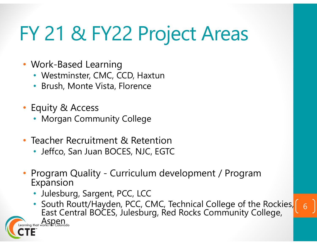# FY 21 & FY22 Project Areas

- Work-Based Learning
	- Westminster, CMC, CCD, Haxtun
	- •Brush, Monte Vista, Florence
- Equity & Access
	- Morgan Community College
- $\bullet$  Teacher Recruitment & Retention
	- Jeffco, San Juan BOCES, NJC, EGTC
- • Program Quality - Curriculum development / Program Expansion
	- Julesburg, Sargent, PCC, LCC
- South Routt/Hayden, PCC, CMC, Technical College of the Rockies, East Central BOCES, Julesburg, Red Rocks Community College, arning that works for Colorado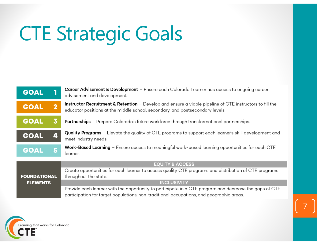# CTE Strategic Goals

| <b>GOAL</b>                            |              | Career Advisement & Development - Ensure each Colorado Learner has access to ongoing career<br>advisement and development.                                                                         |  |  |  |  |  |
|----------------------------------------|--------------|----------------------------------------------------------------------------------------------------------------------------------------------------------------------------------------------------|--|--|--|--|--|
| <b>GOAL</b>                            | $\mathbf{2}$ | Instructor Recruitment & Retention - Develop and ensure a viable pipeline of CTE instructors to fill the<br>educator positions at the middle school, secondary, and postsecondary levels.          |  |  |  |  |  |
| <b>GOAL</b>                            | 3            | <b>Partnerships</b> - Prepare Colorado's future workforce through transformational partnerships.                                                                                                   |  |  |  |  |  |
| <b>GOAL</b>                            | 4            | <b>Quality Programs</b> – Elevate the quality of CTE programs to support each learner's skill development and<br>meet industry needs.                                                              |  |  |  |  |  |
| <b>GOAL</b>                            | 5            | Work-Based Learning - Ensure access to meaningful work-based learning opportunities for each CTE<br>learner.                                                                                       |  |  |  |  |  |
| <b>FOUNDATIONAL</b><br><b>ELEMENTS</b> |              | <b>EQUITY &amp; ACCESS</b>                                                                                                                                                                         |  |  |  |  |  |
|                                        |              | Create opportunities for each learner to access quality CTE programs and distribution of CTE programs<br>throughout the state.                                                                     |  |  |  |  |  |
|                                        |              | <b>INCLUSIVITY</b>                                                                                                                                                                                 |  |  |  |  |  |
|                                        |              | Provide each learner with the opportunity to participate in a CTE program and decrease the gaps of CTE<br>participation for target populations, non-traditional occupations, and geographic areas. |  |  |  |  |  |

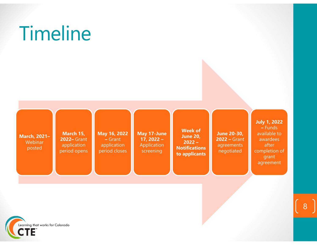

Timeline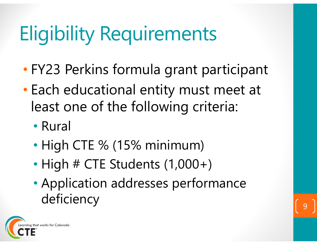# Eligibility Requirements

- •FY23 Perkins formula grant participant
- • Each educational entity must meet at least one of the following criteria:
	- Rural
	- •• High CTE % (15% minimum)
	- •• High # CTE Students (1,000+)
	- • Application addresses performance deficiency

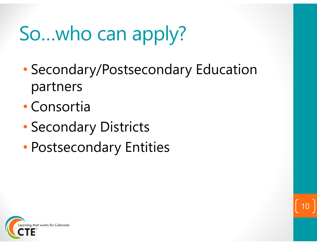# So…who can apply?

• Secondary/Postsecondary Education partners

- •Consortia
- •Secondary Districts
- •Postsecondary Entities

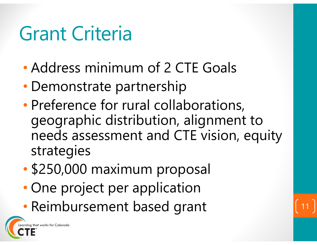#### Grant Criteria

- •Address minimum of 2 CTE Goals
- $\bullet$ Demonstrate partnership
- •• Preference for rural collaborations, geographic distribution, alignment to needs assessment and CTE vision, equity strategies
- •\$250,000 maximum proposal
- •• One project per application
- •• Reimbursement based grant 11

that works for Colorado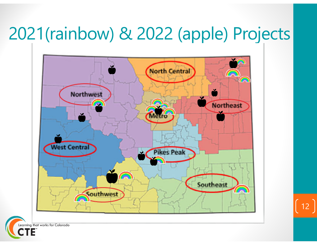#### 2021(rainbow) & 2022 (apple) Projects



12

Learning that works for Colorado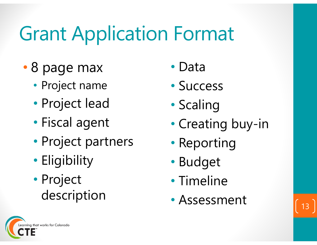### Grant Application Format

- • 8 page max
	- Project name
	- •Project lead
	- •Fiscal agent
	- •Project partners
	- •• Eligibility
	- • Project description
- Data
- Success
- •• Scaling
- •Creating buy-in
- •Reporting
- •Budget
- Timeline
- Assessment 13

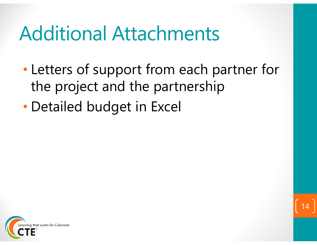#### Additional Attachments

- • Letters of support from each partner for the project and the partnership
- •Detailed budget in Excel



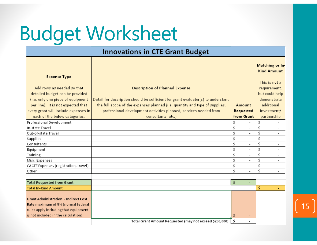### Budget Worksheet

Rate maximum of 5% (normal federal rules apply including that equipment is not included in the calculation)

|                                                                                                    | <b>Innovations in CTE Grant Budget</b>                                                                                    |                                |                                                                |                          |
|----------------------------------------------------------------------------------------------------|---------------------------------------------------------------------------------------------------------------------------|--------------------------------|----------------------------------------------------------------|--------------------------|
| <b>Expense Type</b>                                                                                |                                                                                                                           |                                | Matching or In<br><b>Kind Amount</b>                           |                          |
| Add rows as needed so that<br>detailed budget can be provided<br>(i.e. only one piece of equipment | <b>Description of Planned Expense</b><br>Detail for description should be sufficient for grant evaluator(s) to understand |                                | This is not a<br>requirement,<br>but could help<br>demonstrate |                          |
| per line). It is not expected that                                                                 | the full scope of the expenses planned (i.e. quantity and type of supplies,                                               | Amount                         | additional                                                     |                          |
| every grant will include expenses in                                                               | professional development activities planned, services needed from                                                         | Requested<br>from Grant        | investment/                                                    |                          |
| each of the below categories.                                                                      | consultants, etc.)                                                                                                        |                                | partnership                                                    |                          |
| Professional Development                                                                           |                                                                                                                           | \$                             | Ś                                                              |                          |
| In-state Travel                                                                                    |                                                                                                                           | \$<br>$\overline{a}$           | Ś                                                              |                          |
| Out-of-state Travel                                                                                |                                                                                                                           | \$<br>$\overline{\phantom{0}}$ | Ś                                                              |                          |
| Supplies                                                                                           |                                                                                                                           | \$<br>$\overline{\phantom{0}}$ | Ś                                                              |                          |
| Consultants                                                                                        |                                                                                                                           | \$<br>$\overline{\phantom{0}}$ | Ś                                                              |                          |
| Equipment                                                                                          |                                                                                                                           | \$<br>$\overline{\phantom{0}}$ | Ś                                                              |                          |
| Training                                                                                           |                                                                                                                           | \$<br>$\overline{\phantom{0}}$ | Ś                                                              | $\overline{\phantom{a}}$ |
| Misc. Expenses                                                                                     |                                                                                                                           | \$<br>$\overline{\phantom{0}}$ | Ś                                                              |                          |
| CACTE Expenses (registration, travel)                                                              |                                                                                                                           | \$<br>$\overline{\phantom{0}}$ | Ś                                                              | $\overline{\phantom{a}}$ |
| Other                                                                                              |                                                                                                                           | Ś                              | Ś                                                              |                          |
|                                                                                                    |                                                                                                                           |                                |                                                                |                          |
| <b>Total Requested from Grant</b>                                                                  |                                                                                                                           | \$<br>$\sim$                   |                                                                |                          |
| <b>Total In-Kind Amount</b>                                                                        |                                                                                                                           |                                | Ś                                                              |                          |
| <b>Grant Administration - Indirect Cost</b>                                                        |                                                                                                                           |                                |                                                                |                          |

15

r In-

 $\mathcal{L}^{\pm}$ 

Total Grant Amount Requested (may not exceed \$250,000): 5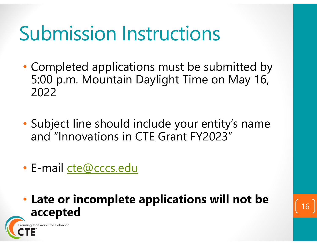#### Submission Instructions

- Completed applications must be submitted by 5:00 p.m. Mountain Daylight Time on May 16, 2022
- Subject line should include your entity's name and "Innovations in CTE Grant FY2023"
- E-mail cte@cccs.edu

rning that works for Colorado

• **Late or incomplete applications will not be accepted** <sup>16</sup>

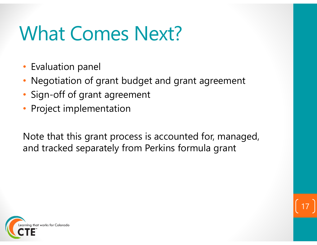### What Comes Next?

- Evaluation panel
- Negotiation of grant budget and grant agreement
- Sign-off of grant agreement
- Project implementation

Note that this grant process is accounted for, managed, and tracked separately from Perkins formula grant



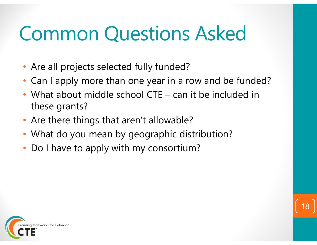### Common Questions Asked

- Are all projects selected fully funded?
- Can I apply more than one year in a row and be funded?

- • What about middle school CTE – can it be included in these grants?
- Are there things that aren't allowable?
- What do you mean by geographic distribution?
- $\bullet$ Do I have to apply with my consortium?